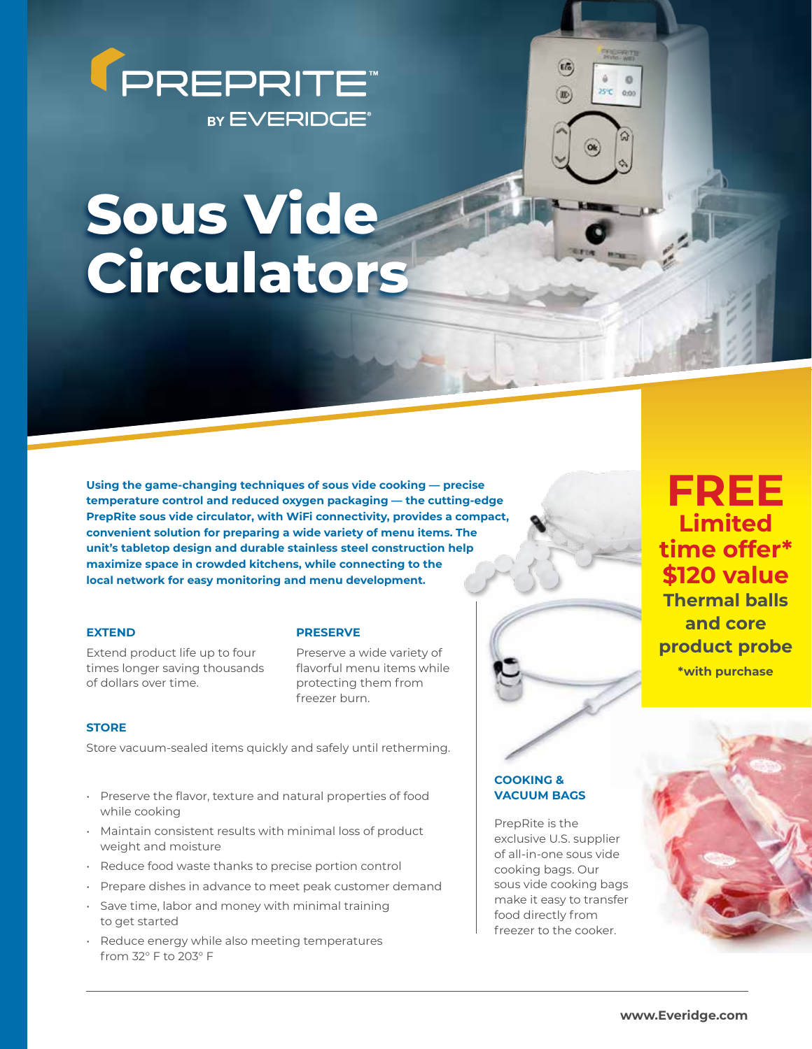

# **Sous Vide Circulators**

**Using the game-changing techniques of sous vide cooking — precise temperature control and reduced oxygen packaging — the cutting-edge PrepRite sous vide circulator, with WiFi connectivity, provides a compact, convenient solution for preparing a wide variety of menu items. The unit's tabletop design and durable stainless steel construction help maximize space in crowded kitchens, while connecting to the local network for easy monitoring and menu development.**

#### **EXTEND**

Extend product life up to four times longer saving thousands of dollars over time.

#### **PRESERVE**

Preserve a wide variety of flavorful menu items while protecting them from freezer burn.

### **STORE**

Store vacuum-sealed items quickly and safely until retherming.

- Preserve the flavor, texture and natural properties of food while cooking
- Maintain consistent results with minimal loss of product weight and moisture
- Reduce food waste thanks to precise portion control
- Prepare dishes in advance to meet peak customer demand
- Save time, labor and money with minimal training to get started
- Reduce energy while also meeting temperatures from 32° F to 203° F

## **COOKING & VACUUM BAGS**

PrepRite is the exclusive U.S. supplier of all-in-one sous vide cooking bags. Our sous vide cooking bags make it easy to transfer food directly from freezer to the cooker.

 $E_{\alpha}$ 

**W** 

25°C 0:00

# **FREE Limited time offer\* \$120 value Thermal balls and core product probe \*with purchase**